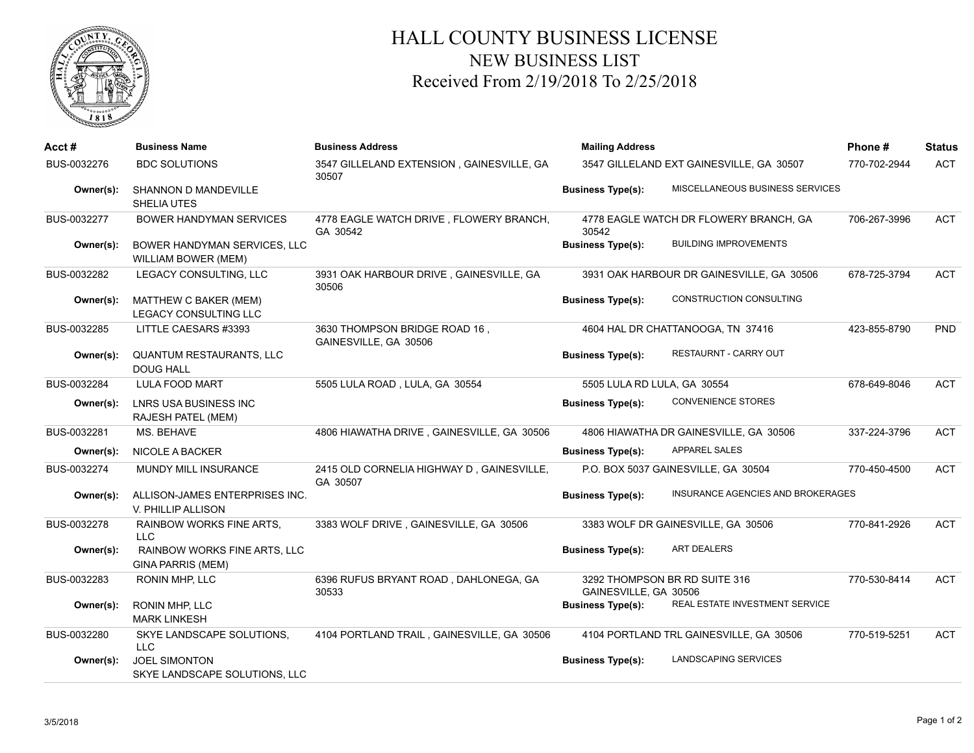

## HALL COUNTY BUSINESS LICENSE NEW BUSINESS LIST Received From 2/19/2018 To 2/25/2018

| Acct#       | <b>Business Name</b>                                  | <b>Business Address</b>                                | <b>Mailing Address</b>      |                                           | Phone#       | <b>Status</b> |
|-------------|-------------------------------------------------------|--------------------------------------------------------|-----------------------------|-------------------------------------------|--------------|---------------|
| BUS-0032276 | <b>BDC SOLUTIONS</b>                                  | 3547 GILLELAND EXTENSION, GAINESVILLE, GA<br>30507     |                             | 3547 GILLELAND EXT GAINESVILLE, GA 30507  | 770-702-2944 | <b>ACT</b>    |
| Owner(s):   | SHANNON D MANDEVILLE<br>SHELIA UTES                   |                                                        | <b>Business Type(s):</b>    | MISCELLANEOUS BUSINESS SERVICES           |              |               |
| BUS-0032277 | <b>BOWER HANDYMAN SERVICES</b>                        | 4778 EAGLE WATCH DRIVE, FLOWERY BRANCH,<br>GA 30542    | 30542                       | 4778 EAGLE WATCH DR FLOWERY BRANCH, GA    | 706-267-3996 | <b>ACT</b>    |
| Owner(s):   | BOWER HANDYMAN SERVICES, LLC<br>WILLIAM BOWER (MEM)   |                                                        | <b>Business Type(s):</b>    | <b>BUILDING IMPROVEMENTS</b>              |              |               |
| BUS-0032282 | LEGACY CONSULTING, LLC                                | 3931 OAK HARBOUR DRIVE, GAINESVILLE, GA<br>30506       |                             | 3931 OAK HARBOUR DR GAINESVILLE, GA 30506 | 678-725-3794 | <b>ACT</b>    |
| Owner(s):   | MATTHEW C BAKER (MEM)<br>LEGACY CONSULTING LLC        |                                                        | <b>Business Type(s):</b>    | CONSTRUCTION CONSULTING                   |              |               |
| BUS-0032285 | LITTLE CAESARS #3393                                  | 3630 THOMPSON BRIDGE ROAD 16,<br>GAINESVILLE, GA 30506 |                             | 4604 HAL DR CHATTANOOGA, TN 37416         | 423-855-8790 | <b>PND</b>    |
| Owner(s):   | QUANTUM RESTAURANTS, LLC<br><b>DOUG HALL</b>          |                                                        | <b>Business Type(s):</b>    | RESTAURNT - CARRY OUT                     |              |               |
| BUS-0032284 | <b>LULA FOOD MART</b>                                 | 5505 LULA ROAD, LULA, GA 30554                         | 5505 LULA RD LULA, GA 30554 |                                           | 678-649-8046 | <b>ACT</b>    |
| Owner(s):   | LNRS USA BUSINESS INC<br>RAJESH PATEL (MEM)           |                                                        | <b>Business Type(s):</b>    | CONVENIENCE STORES                        |              |               |
| BUS-0032281 | MS. BEHAVE                                            | 4806 HIAWATHA DRIVE, GAINESVILLE, GA 30506             |                             | 4806 HIAWATHA DR GAINESVILLE, GA 30506    | 337-224-3796 | <b>ACT</b>    |
| Owner(s):   | <b>NICOLE A BACKER</b>                                |                                                        | <b>Business Type(s):</b>    | <b>APPAREL SALES</b>                      |              |               |
| BUS-0032274 | MUNDY MILL INSURANCE                                  | 2415 OLD CORNELIA HIGHWAY D, GAINESVILLE,<br>GA 30507  |                             | P.O. BOX 5037 GAINESVILLE, GA 30504       | 770-450-4500 | <b>ACT</b>    |
| Owner(s):   | ALLISON-JAMES ENTERPRISES INC.<br>V. PHILLIP ALLISON  |                                                        | <b>Business Type(s):</b>    | INSURANCE AGENCIES AND BROKERAGES         |              |               |
| BUS-0032278 | <b>RAINBOW WORKS FINE ARTS,</b><br>LLC                | 3383 WOLF DRIVE, GAINESVILLE, GA 30506                 |                             | 3383 WOLF DR GAINESVILLE, GA 30506        | 770-841-2926 | <b>ACT</b>    |
| Owner(s):   | RAINBOW WORKS FINE ARTS, LLC<br>GINA PARRIS (MEM)     |                                                        | <b>Business Type(s):</b>    | <b>ART DEALERS</b>                        |              |               |
| BUS-0032283 | RONIN MHP, LLC                                        | 6396 RUFUS BRYANT ROAD, DAHLONEGA, GA<br>30533         | GAINESVILLE, GA 30506       | 3292 THOMPSON BR RD SUITE 316             | 770-530-8414 | <b>ACT</b>    |
| Owner(s):   | <b>RONIN MHP, LLC</b><br><b>MARK LINKESH</b>          |                                                        | <b>Business Type(s):</b>    | REAL ESTATE INVESTMENT SERVICE            |              |               |
| BUS-0032280 | SKYE LANDSCAPE SOLUTIONS,<br><b>LLC</b>               | 4104 PORTLAND TRAIL, GAINESVILLE, GA 30506             |                             | 4104 PORTLAND TRL GAINESVILLE, GA 30506   | 770-519-5251 | <b>ACT</b>    |
| Owner(s):   | <b>JOEL SIMONTON</b><br>SKYE LANDSCAPE SOLUTIONS, LLC |                                                        | <b>Business Type(s):</b>    | <b>LANDSCAPING SERVICES</b>               |              |               |